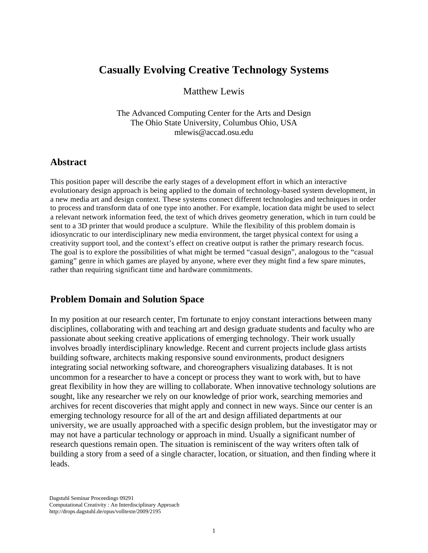# **Casually Evolving Creative Technology Systems**

Matthew Lewis

The Advanced Computing Center for the Arts and Design The Ohio State University, Columbus Ohio, USA mlewis@accad.osu.edu

#### **Abstract**

This position paper will describe the early stages of a development effort in which an interactive evolutionary design approach is being applied to the domain of technology-based system development, in a new media art and design context. These systems connect different technologies and techniques in order to process and transform data of one type into another. For example, location data might be used to select a relevant network information feed, the text of which drives geometry generation, which in turn could be sent to a 3D printer that would produce a sculpture. While the flexibility of this problem domain is idiosyncratic to our interdisciplinary new media environment, the target physical context for using a creativity support tool, and the context's effect on creative output is rather the primary research focus. The goal is to explore the possibilities of what might be termed "casual design", analogous to the "casual gaming" genre in which games are played by anyone, where ever they might find a few spare minutes, rather than requiring significant time and hardware commitments.

#### **Problem Domain and Solution Space**

In my position at our research center, I'm fortunate to enjoy constant interactions between many disciplines, collaborating with and teaching art and design graduate students and faculty who are passionate about seeking creative applications of emerging technology. Their work usually involves broadly interdisciplinary knowledge. Recent and current projects include glass artists building software, architects making responsive sound environments, product designers integrating social networking software, and choreographers visualizing databases. It is not uncommon for a researcher to have a concept or process they want to work with, but to have great flexibility in how they are willing to collaborate. When innovative technology solutions are sought, like any researcher we rely on our knowledge of prior work, searching memories and archives for recent discoveries that might apply and connect in new ways. Since our center is an emerging technology resource for all of the art and design affiliated departments at our university, we are usually approached with a specific design problem, but the investigator may or may not have a particular technology or approach in mind. Usually a significant number of research questions remain open. The situation is reminiscent of the way writers often talk of building a story from a seed of a single character, location, or situation, and then finding where it leads.

Dagstuhl Seminar Proceedings 09291 Computational Creativity : An Interdisciplinary Approach http://drops.dagstuhl.de/opus/volltexte/2009/2195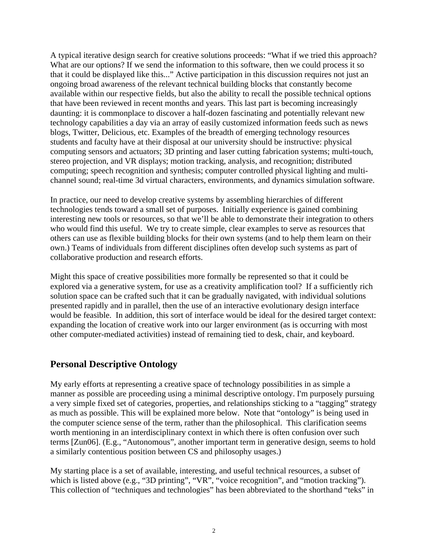A typical iterative design search for creative solutions proceeds: "What if we tried this approach? What are our options? If we send the information to this software, then we could process it so that it could be displayed like this..." Active participation in this discussion requires not just an ongoing broad awareness of the relevant technical building blocks that constantly become available within our respective fields, but also the ability to recall the possible technical options that have been reviewed in recent months and years. This last part is becoming increasingly daunting: it is commonplace to discover a half-dozen fascinating and potentially relevant new technology capabilities a day via an array of easily customized information feeds such as news blogs, Twitter, Delicious, etc. Examples of the breadth of emerging technology resources students and faculty have at their disposal at our university should be instructive: physical computing sensors and actuators; 3D printing and laser cutting fabrication systems; multi-touch, stereo projection, and VR displays; motion tracking, analysis, and recognition; distributed computing; speech recognition and synthesis; computer controlled physical lighting and multichannel sound; real-time 3d virtual characters, environments, and dynamics simulation software.

In practice, our need to develop creative systems by assembling hierarchies of different technologies tends toward a small set of purposes. Initially experience is gained combining interesting new tools or resources, so that we'll be able to demonstrate their integration to others who would find this useful. We try to create simple, clear examples to serve as resources that others can use as flexible building blocks for their own systems (and to help them learn on their own.) Teams of individuals from different disciplines often develop such systems as part of collaborative production and research efforts.

Might this space of creative possibilities more formally be represented so that it could be explored via a generative system, for use as a creativity amplification tool? If a sufficiently rich solution space can be crafted such that it can be gradually navigated, with individual solutions presented rapidly and in parallel, then the use of an interactive evolutionary design interface would be feasible. In addition, this sort of interface would be ideal for the desired target context: expanding the location of creative work into our larger environment (as is occurring with most other computer-mediated activities) instead of remaining tied to desk, chair, and keyboard.

## **Personal Descriptive Ontology**

My early efforts at representing a creative space of technology possibilities in as simple a manner as possible are proceeding using a minimal descriptive ontology. I'm purposely pursuing a very simple fixed set of categories, properties, and relationships sticking to a "tagging" strategy as much as possible. This will be explained more below. Note that "ontology" is being used in the computer science sense of the term, rather than the philosophical. This clarification seems worth mentioning in an interdisciplinary context in which there is often confusion over such terms [Zun06]. (E.g., "Autonomous", another important term in generative design, seems to hold a similarly contentious position between CS and philosophy usages.)

My starting place is a set of available, interesting, and useful technical resources, a subset of which is listed above (e.g., "3D printing", "VR", "voice recognition", and "motion tracking"). This collection of "techniques and technologies" has been abbreviated to the shorthand "teks" in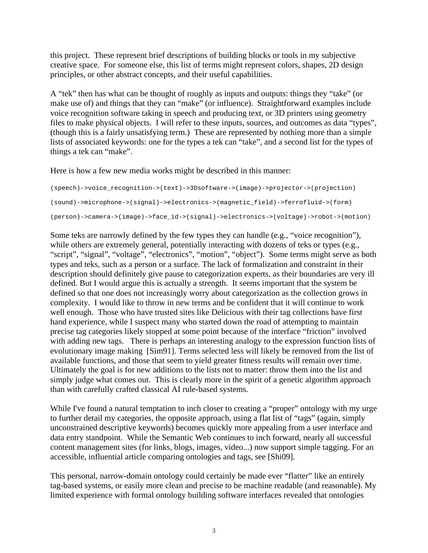this project. These represent brief descriptions of building blocks or tools in my subjective creative space. For someone else, this list of terms might represent colors, shapes, 2D design principles, or other abstract concepts, and their useful capabilities.

A "tek" then has what can be thought of roughly as inputs and outputs: things they "take" (or make use of) and things that they can "make" (or influence). Straightforward examples include voice recognition software taking in speech and producing text, or 3D printers using geometry files to make physical objects. I will refer to these inputs, sources, and outcomes as data "types", (though this is a fairly unsatisfying term.) These are represented by nothing more than a simple lists of associated keywords: one for the types a tek can "take", and a second list for the types of things a tek can "make".

Here is how a few new media works might be described in this manner:

```
(speech)->voice_recognition->(text)->3Dsoftware->(image)->projector->(projection)
(sound)->microphone->(signal)->electronics->(magnetic_field)->ferrofluid->(form)
(person)->camera->(image)->face_id->(signal)->electronics->(voltage)->robot->(motion)
```
Some teks are narrowly defined by the few types they can handle (e.g., "voice recognition"), while others are extremely general, potentially interacting with dozens of teks or types (e.g., "script", "signal", "voltage", "electronics", "motion", "object"). Some terms might serve as both types and teks, such as a person or a surface. The lack of formalization and constraint in their description should definitely give pause to categorization experts, as their boundaries are very ill defined. But I would argue this is actually a strength. It seems important that the system be defined so that one does not increasingly worry about categorization as the collection grows in complexity. I would like to throw in new terms and be confident that it will continue to work well enough. Those who have trusted sites like Delicious with their tag collections have first hand experience, while I suspect many who started down the road of attempting to maintain precise tag categories likely stopped at some point because of the interface "friction" involved with adding new tags. There is perhaps an interesting analogy to the expression function lists of evolutionary image making [Sim91]. Terms selected less will likely be removed from the list of available functions, and those that seem to yield greater fitness results will remain over time. Ultimately the goal is for new additions to the lists not to matter: throw them into the list and simply judge what comes out. This is clearly more in the spirit of a genetic algorithm approach than with carefully crafted classical AI rule-based systems.

While I've found a natural temptation to inch closer to creating a "proper" ontology with my urge to further detail my categories, the opposite approach, using a flat list of "tags" (again, simply unconstrained descriptive keywords) becomes quickly more appealing from a user interface and data entry standpoint. While the Semantic Web continues to inch forward, nearly all successful content management sites (for links, blogs, images, video...) now support simple tagging. For an accessible, influential article comparing ontologies and tags, see [Shi09].

This personal, narrow-domain ontology could certainly be made ever "flatter" like an entirely tag-based systems, or easily more clean and precise to be machine readable (and reasonable). My limited experience with formal ontology building software interfaces revealed that ontologies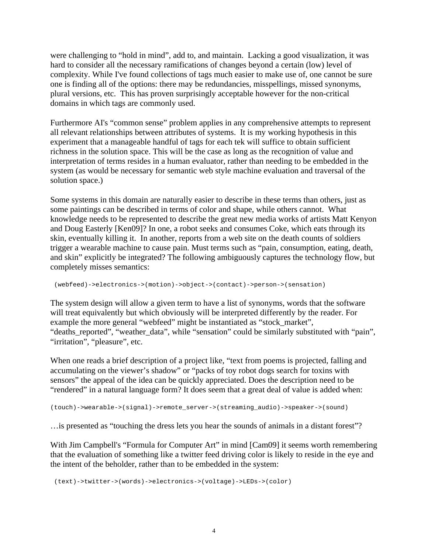were challenging to "hold in mind", add to, and maintain. Lacking a good visualization, it was hard to consider all the necessary ramifications of changes beyond a certain (low) level of complexity. While I've found collections of tags much easier to make use of, one cannot be sure one is finding all of the options: there may be redundancies, misspellings, missed synonyms, plural versions, etc. This has proven surprisingly acceptable however for the non-critical domains in which tags are commonly used.

Furthermore AI's "common sense" problem applies in any comprehensive attempts to represent all relevant relationships between attributes of systems. It is my working hypothesis in this experiment that a manageable handful of tags for each tek will suffice to obtain sufficient richness in the solution space. This will be the case as long as the recognition of value and interpretation of terms resides in a human evaluator, rather than needing to be embedded in the system (as would be necessary for semantic web style machine evaluation and traversal of the solution space.)

Some systems in this domain are naturally easier to describe in these terms than others, just as some paintings can be described in terms of color and shape, while others cannot. What knowledge needs to be represented to describe the great new media works of artists Matt Kenyon and Doug Easterly [Ken09]? In one, a robot seeks and consumes Coke, which eats through its skin, eventually killing it. In another, reports from a web site on the death counts of soldiers trigger a wearable machine to cause pain. Must terms such as "pain, consumption, eating, death, and skin" explicitly be integrated? The following ambiguously captures the technology flow, but completely misses semantics:

(webfeed)->electronics->(motion)->object->(contact)->person->(sensation)

The system design will allow a given term to have a list of synonyms, words that the software will treat equivalently but which obviously will be interpreted differently by the reader. For example the more general "webfeed" might be instantiated as "stock\_market", "deaths\_reported", "weather\_data", while "sensation" could be similarly substituted with "pain", "irritation", "pleasure", etc.

When one reads a brief description of a project like, "text from poems is projected, falling and accumulating on the viewer's shadow" or "packs of toy robot dogs search for toxins with sensors" the appeal of the idea can be quickly appreciated. Does the description need to be "rendered" in a natural language form? It does seem that a great deal of value is added when:

(touch)->wearable->(signal)->remote\_server->(streaming\_audio)->speaker->(sound)

…is presented as "touching the dress lets you hear the sounds of animals in a distant forest"?

With Jim Campbell's "Formula for Computer Art" in mind [Cam09] it seems worth remembering that the evaluation of something like a twitter feed driving color is likely to reside in the eye and the intent of the beholder, rather than to be embedded in the system:

(text)->twitter->(words)->electronics->(voltage)->LEDs->(color)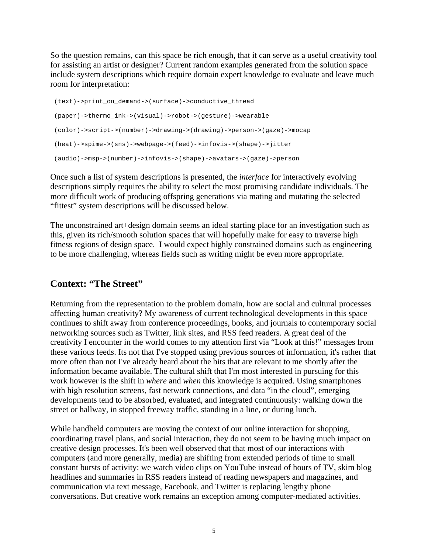So the question remains, can this space be rich enough, that it can serve as a useful creativity tool for assisting an artist or designer? Current random examples generated from the solution space include system descriptions which require domain expert knowledge to evaluate and leave much room for interpretation:

```
 (text)->print_on_demand->(surface)->conductive_thread
 (paper)->thermo_ink->(visual)->robot->(gesture)->wearable
 (color)->script->(number)->drawing->(drawing)->person->(gaze)->mocap
 (heat)->spime->(sns)->webpage->(feed)->infovis->(shape)->jitter
 (audio)->msp->(number)->infovis->(shape)->avatars->(gaze)->person
```
Once such a list of system descriptions is presented, the *interface* for interactively evolving descriptions simply requires the ability to select the most promising candidate individuals. The more difficult work of producing offspring generations via mating and mutating the selected "fittest" system descriptions will be discussed below.

The unconstrained art+design domain seems an ideal starting place for an investigation such as this, given its rich/smooth solution spaces that will hopefully make for easy to traverse high fitness regions of design space. I would expect highly constrained domains such as engineering to be more challenging, whereas fields such as writing might be even more appropriate.

## **Context: "The Street"**

Returning from the representation to the problem domain, how are social and cultural processes affecting human creativity? My awareness of current technological developments in this space continues to shift away from conference proceedings, books, and journals to contemporary social networking sources such as Twitter, link sites, and RSS feed readers. A great deal of the creativity I encounter in the world comes to my attention first via "Look at this!" messages from these various feeds. Its not that I've stopped using previous sources of information, it's rather that more often than not I've already heard about the bits that are relevant to me shortly after the information became available. The cultural shift that I'm most interested in pursuing for this work however is the shift in *where* and *when* this knowledge is acquired. Using smartphones with high resolution screens, fast network connections, and data "in the cloud", emerging developments tend to be absorbed, evaluated, and integrated continuously: walking down the street or hallway, in stopped freeway traffic, standing in a line, or during lunch.

While handheld computers are moving the context of our online interaction for shopping, coordinating travel plans, and social interaction, they do not seem to be having much impact on creative design processes. It's been well observed that that most of our interactions with computers (and more generally, media) are shifting from extended periods of time to small constant bursts of activity: we watch video clips on YouTube instead of hours of TV, skim blog headlines and summaries in RSS readers instead of reading newspapers and magazines, and communication via text message, Facebook, and Twitter is replacing lengthy phone conversations. But creative work remains an exception among computer-mediated activities.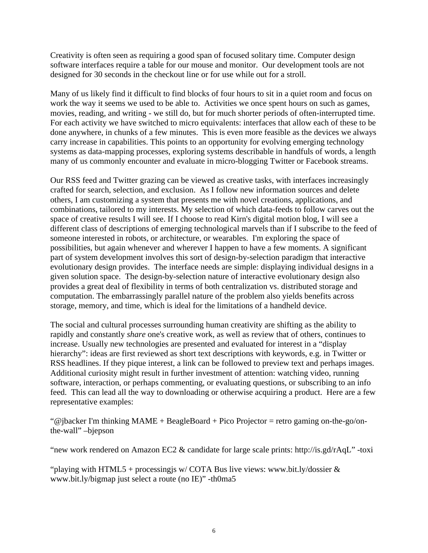Creativity is often seen as requiring a good span of focused solitary time. Computer design software interfaces require a table for our mouse and monitor. Our development tools are not designed for 30 seconds in the checkout line or for use while out for a stroll.

Many of us likely find it difficult to find blocks of four hours to sit in a quiet room and focus on work the way it seems we used to be able to. Activities we once spent hours on such as games, movies, reading, and writing - we still do, but for much shorter periods of often-interrupted time. For each activity we have switched to micro equivalents: interfaces that allow each of these to be done anywhere, in chunks of a few minutes. This is even more feasible as the devices we always carry increase in capabilities. This points to an opportunity for evolving emerging technology systems as data-mapping processes, exploring systems describable in handfuls of words, a length many of us commonly encounter and evaluate in micro-blogging Twitter or Facebook streams.

Our RSS feed and Twitter grazing can be viewed as creative tasks, with interfaces increasingly crafted for search, selection, and exclusion. As I follow new information sources and delete others, I am customizing a system that presents me with novel creations, applications, and combinations, tailored to my interests. My selection of which data-feeds to follow carves out the space of creative results I will see. If I choose to read Kirn's digital motion blog, I will see a different class of descriptions of emerging technological marvels than if I subscribe to the feed of someone interested in robots, or architecture, or wearables. I'm exploring the space of possibilities, but again whenever and wherever I happen to have a few moments. A significant part of system development involves this sort of design-by-selection paradigm that interactive evolutionary design provides. The interface needs are simple: displaying individual designs in a given solution space. The design-by-selection nature of interactive evolutionary design also provides a great deal of flexibility in terms of both centralization vs. distributed storage and computation. The embarrassingly parallel nature of the problem also yields benefits across storage, memory, and time, which is ideal for the limitations of a handheld device.

The social and cultural processes surrounding human creativity are shifting as the ability to rapidly and constantly *share* one's creative work, as well as review that of others, continues to increase. Usually new technologies are presented and evaluated for interest in a "display hierarchy": ideas are first reviewed as short text descriptions with keywords, e.g. in Twitter or RSS headlines. If they pique interest, a link can be followed to preview text and perhaps images. Additional curiosity might result in further investment of attention: watching video, running software, interaction, or perhaps commenting, or evaluating questions, or subscribing to an info feed. This can lead all the way to downloading or otherwise acquiring a product. Here are a few representative examples:

"@jbacker I'm thinking  $MAME + BeagleBoard + Pico Projector = retro$  gaming on-the-go/onthe-wall" –bjepson

"new work rendered on Amazon EC2 & candidate for large scale prints: http://is.gd/rAqL" -toxi

"playing with HTML5 + processing is w/ COTA Bus live views: www.bit.ly/dossier  $\&$ www.bit.ly/bigmap just select a route (no IE)" -th0ma5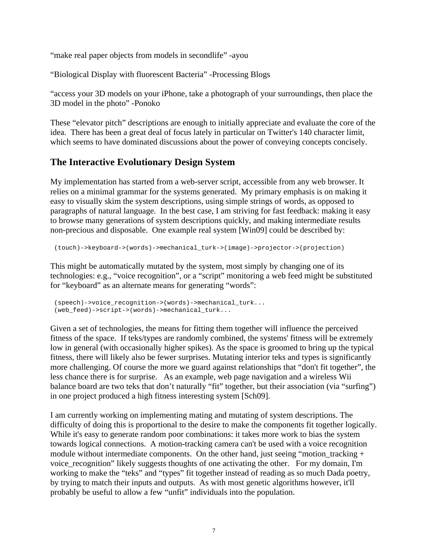"make real paper objects from models in secondlife" -ayou

"Biological Display with fluorescent Bacteria" -Processing Blogs

"access your 3D models on your iPhone, take a photograph of your surroundings, then place the 3D model in the photo" -Ponoko

These "elevator pitch" descriptions are enough to initially appreciate and evaluate the core of the idea. There has been a great deal of focus lately in particular on Twitter's 140 character limit, which seems to have dominated discussions about the power of conveying concepts concisely.

## **The Interactive Evolutionary Design System**

My implementation has started from a web-server script, accessible from any web browser. It relies on a minimal grammar for the systems generated. My primary emphasis is on making it easy to visually skim the system descriptions, using simple strings of words, as opposed to paragraphs of natural language. In the best case, I am striving for fast feedback: making it easy to browse many generations of system descriptions quickly, and making intermediate results non-precious and disposable. One example real system [Win09] could be described by:

(touch)->keyboard->(words)->mechanical\_turk->(image)->projector->(projection)

This might be automatically mutated by the system, most simply by changing one of its technologies: e.g., "voice recognition", or a "script" monitoring a web feed might be substituted for "keyboard" as an alternate means for generating "words":

```
 (speech)->voice_recognition->(words)->mechanical_turk...
 (web_feed)->script->(words)->mechanical_turk...
```
Given a set of technologies, the means for fitting them together will influence the perceived fitness of the space. If teks/types are randomly combined, the systems' fitness will be extremely low in general (with occasionally higher spikes). As the space is groomed to bring up the typical fitness, there will likely also be fewer surprises. Mutating interior teks and types is significantly more challenging. Of course the more we guard against relationships that "don't fit together", the less chance there is for surprise. As an example, web page navigation and a wireless Wii balance board are two teks that don't naturally "fit" together, but their association (via "surfing") in one project produced a high fitness interesting system [Sch09].

I am currently working on implementing mating and mutating of system descriptions. The difficulty of doing this is proportional to the desire to make the components fit together logically. While it's easy to generate random poor combinations: it takes more work to bias the system towards logical connections. A motion-tracking camera can't be used with a voice recognition module without intermediate components. On the other hand, just seeing "motion\_tracking + voice recognition" likely suggests thoughts of one activating the other. For my domain, I'm working to make the "teks" and "types" fit together instead of reading as so much Dada poetry, by trying to match their inputs and outputs. As with most genetic algorithms however, it'll probably be useful to allow a few "unfit" individuals into the population.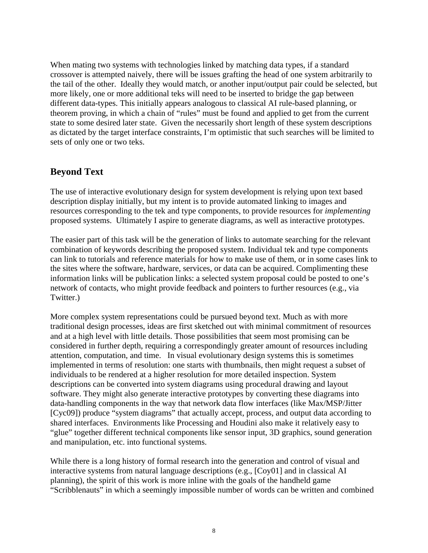When mating two systems with technologies linked by matching data types, if a standard crossover is attempted naively, there will be issues grafting the head of one system arbitrarily to the tail of the other. Ideally they would match, or another input/output pair could be selected, but more likely, one or more additional teks will need to be inserted to bridge the gap between different data-types. This initially appears analogous to classical AI rule-based planning, or theorem proving, in which a chain of "rules" must be found and applied to get from the current state to some desired later state. Given the necessarily short length of these system descriptions as dictated by the target interface constraints, I'm optimistic that such searches will be limited to sets of only one or two teks.

#### **Beyond Text**

The use of interactive evolutionary design for system development is relying upon text based description display initially, but my intent is to provide automated linking to images and resources corresponding to the tek and type components, to provide resources for *implementing* proposed systems. Ultimately I aspire to generate diagrams, as well as interactive prototypes.

The easier part of this task will be the generation of links to automate searching for the relevant combination of keywords describing the proposed system. Individual tek and type components can link to tutorials and reference materials for how to make use of them, or in some cases link to the sites where the software, hardware, services, or data can be acquired. Complimenting these information links will be publication links: a selected system proposal could be posted to one's network of contacts, who might provide feedback and pointers to further resources (e.g., via Twitter.)

More complex system representations could be pursued beyond text. Much as with more traditional design processes, ideas are first sketched out with minimal commitment of resources and at a high level with little details. Those possibilities that seem most promising can be considered in further depth, requiring a correspondingly greater amount of resources including attention, computation, and time. In visual evolutionary design systems this is sometimes implemented in terms of resolution: one starts with thumbnails, then might request a subset of individuals to be rendered at a higher resolution for more detailed inspection. System descriptions can be converted into system diagrams using procedural drawing and layout software. They might also generate interactive prototypes by converting these diagrams into data-handling components in the way that network data flow interfaces (like Max/MSP/Jitter [Cyc09]) produce "system diagrams" that actually accept, process, and output data according to shared interfaces. Environments like Processing and Houdini also make it relatively easy to "glue" together different technical components like sensor input, 3D graphics, sound generation and manipulation, etc. into functional systems.

While there is a long history of formal research into the generation and control of visual and interactive systems from natural language descriptions (e.g., [Coy01] and in classical AI planning), the spirit of this work is more inline with the goals of the handheld game "Scribblenauts" in which a seemingly impossible number of words can be written and combined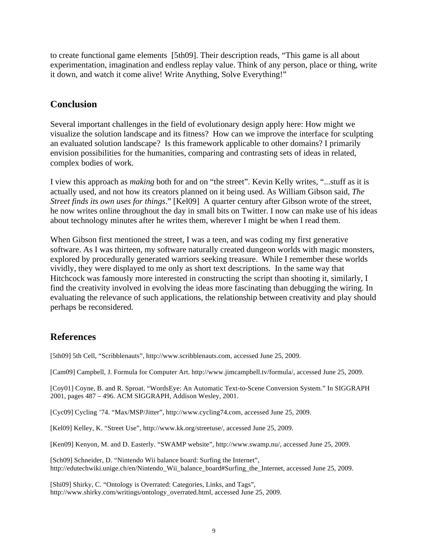to create functional game elements [5th09]. Their description reads, "This game is all about experimentation, imagination and endless replay value. Think of any person, place or thing, write it down, and watch it come alive! Write Anything, Solve Everything!"

#### **Conclusion**

Several important challenges in the field of evolutionary design apply here: How might we visualize the solution landscape and its fitness? How can we improve the interface for sculpting an evaluated solution landscape? Is this framework applicable to other domains? I primarily envision possibilities for the humanities, comparing and contrasting sets of ideas in related, complex bodies of work.

I view this approach as *making* both for and on "the street". Kevin Kelly writes, "...stuff as it is actually used, and not how its creators planned on it being used. As William Gibson said, *The Street finds its own uses for things*." [Kel09] A quarter century after Gibson wrote of the street, he now writes online throughout the day in small bits on Twitter. I now can make use of his ideas about technology minutes after he writes them, wherever I might be when I read them.

When Gibson first mentioned the street, I was a teen, and was coding my first generative software. As I was thirteen, my software naturally created dungeon worlds with magic monsters, explored by procedurally generated warriors seeking treasure. While I remember these worlds vividly, they were displayed to me only as short text descriptions. In the same way that Hitchcock was famously more interested in constructing the script than shooting it, similarly, I find the creativity involved in evolving the ideas more fascinating than debugging the wiring. In evaluating the relevance of such applications, the relationship between creativity and play should perhaps be reconsidered.

# **References**

[5th09] 5th Cell, "Scribblenauts", http://www.scribblenauts.com, accessed June 25, 2009.

[Cam09] Campbell, J. Formula for Computer Art. http://www.jimcampbell.tv/formula/, accessed June 25, 2009.

[Coy01] Coyne, B. and R. Sproat. "WordsEye: An Automatic Text-to-Scene Conversion System." In SIGGRAPH 2001, pages 487 – 496. ACM SIGGRAPH, Addison Wesley, 2001.

[Cyc09] Cycling '74. "Max/MSP/Jitter", http://www.cycling74.com, accessed June 25, 2009.

[Kel09] Kelley, K. "Street Use", http://www.kk.org/streetuse/, accessed June 25, 2009.

[Ken09] Kenyon, M. and D. Easterly. "SWAMP website", http://www.swamp.nu/, accessed June 25, 2009.

[Sch09] Schneider, D. "Nintendo Wii balance board: Surfing the Internet", http://edutechwiki.unige.ch/en/Nintendo\_Wii\_balance\_board#Surfing\_the\_Internet, accessed June 25, 2009.

[Shi09] Shirky, C. "Ontology is Overrated: Categories, Links, and Tags", http://www.shirky.com/writings/ontology\_overrated.html, accessed June 25, 2009.